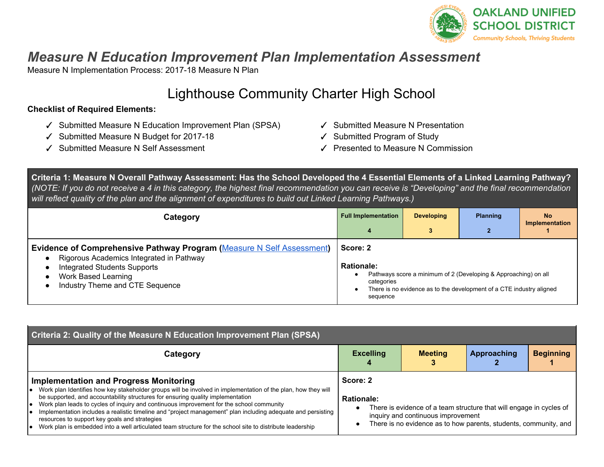

## *Measure N Education Improvement Plan Implementation Assessment*

Measure N Implementation Process: 2017-18 Measure N Plan

# Lighthouse Community Charter High School

## **Checklist of Required Elements:**

- ✓ Submitted Measure N Education Improvement Plan (SPSA)
- ✓ Submitted Measure N Budget for 2017-18
- ✓ Submitted Measure N Self Assessment
- ✓ Submitted Measure N Presentation
- ✓ Submitted Program of Study
- ✓ Presented to Measure N Commission

Criteria 1: Measure N Overall Pathway Assessment: Has the School Developed the 4 Essential Elements of a Linked Learning Pathway? (NOTE: If you do not receive a 4 in this category, the highest final recommendation you can receive is "Developing" and the final recommendation will reflect quality of the plan and the alignment of expenditures to build out Linked Learning Pathways.)

| Category                                                                                                                                                                                                                  | <b>Full Implementation</b><br>4                         | <b>Developing</b> | <b>Planning</b><br>$\overline{2}$                                                                                                       | <b>No</b><br><b>Implementation</b> |
|---------------------------------------------------------------------------------------------------------------------------------------------------------------------------------------------------------------------------|---------------------------------------------------------|-------------------|-----------------------------------------------------------------------------------------------------------------------------------------|------------------------------------|
| <b>Evidence of Comprehensive Pathway Program (Measure N Self Assessment)</b><br>Rigorous Academics Integrated in Pathway<br><b>Integrated Students Supports</b><br>Work Based Learning<br>Industry Theme and CTE Sequence | Score: 2<br><b>Rationale:</b><br>categories<br>sequence |                   | Pathways score a minimum of 2 (Developing & Approaching) on all<br>There is no evidence as to the development of a CTE industry aligned |                                    |

| Criteria 2: Quality of the Measure N Education Improvement Plan (SPSA)                                                                                                                                                                                                                                                                                                                                                                                                                                                                                                                                                      |                               |                                                                                                                                                                               |             |                  |
|-----------------------------------------------------------------------------------------------------------------------------------------------------------------------------------------------------------------------------------------------------------------------------------------------------------------------------------------------------------------------------------------------------------------------------------------------------------------------------------------------------------------------------------------------------------------------------------------------------------------------------|-------------------------------|-------------------------------------------------------------------------------------------------------------------------------------------------------------------------------|-------------|------------------|
| Category                                                                                                                                                                                                                                                                                                                                                                                                                                                                                                                                                                                                                    | <b>Excelling</b>              | <b>Meeting</b>                                                                                                                                                                | Approaching | <b>Beginning</b> |
| <b>Implementation and Progress Monitoring</b><br>Work plan Identifies how key stakeholder groups will be involved in implementation of the plan, how they will<br>be supported, and accountability structures for ensuring quality implementation<br>Work plan leads to cycles of inquiry and continuous improvement for the school community<br>Implementation includes a realistic timeline and "project management" plan including adequate and persisting<br>resources to support key goals and strategies<br>Work plan is embedded into a well articulated team structure for the school site to distribute leadership | Score: 2<br><b>Rationale:</b> | There is evidence of a team structure that will engage in cycles of<br>inquiry and continuous improvement<br>There is no evidence as to how parents, students, community, and |             |                  |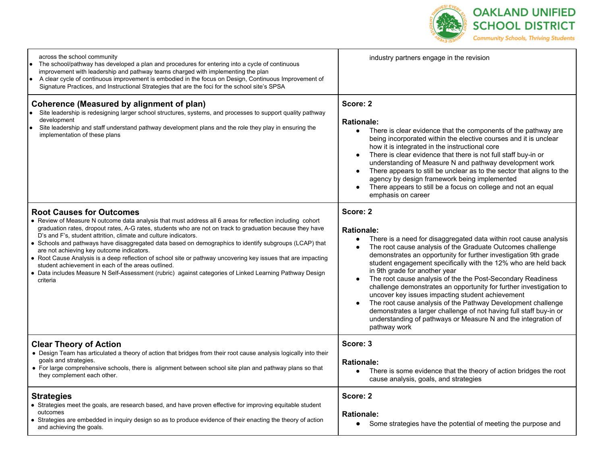

| across the school community<br>The school/pathway has developed a plan and procedures for entering into a cycle of continuous<br>improvement with leadership and pathway teams charged with implementing the plan<br>A clear cycle of continuous improvement is embodied in the focus on Design, Continuous Improvement of<br>Signature Practices, and Instructional Strategies that are the foci for the school site's SPSA                                                                                                                                                                                                                                                                                                                                                      | industry partners engage in the revision                                                                                                                                                                                                                                                                                                                                                                                                                                                                                                                                                                                                                                                                                                                            |
|-----------------------------------------------------------------------------------------------------------------------------------------------------------------------------------------------------------------------------------------------------------------------------------------------------------------------------------------------------------------------------------------------------------------------------------------------------------------------------------------------------------------------------------------------------------------------------------------------------------------------------------------------------------------------------------------------------------------------------------------------------------------------------------|---------------------------------------------------------------------------------------------------------------------------------------------------------------------------------------------------------------------------------------------------------------------------------------------------------------------------------------------------------------------------------------------------------------------------------------------------------------------------------------------------------------------------------------------------------------------------------------------------------------------------------------------------------------------------------------------------------------------------------------------------------------------|
| Coherence (Measured by alignment of plan)<br>Site leadership is redesigning larger school structures, systems, and processes to support quality pathway<br>development<br>Site leadership and staff understand pathway development plans and the role they play in ensuring the<br>implementation of these plans                                                                                                                                                                                                                                                                                                                                                                                                                                                                  | Score: 2<br><b>Rationale:</b><br>There is clear evidence that the components of the pathway are<br>$\bullet$<br>being incorporated within the elective courses and it is unclear<br>how it is integrated in the instructional core<br>There is clear evidence that there is not full staff buy-in or<br>understanding of Measure N and pathway development work<br>There appears to still be unclear as to the sector that aligns to the<br>$\bullet$<br>agency by design framework being implemented<br>There appears to still be a focus on college and not an equal<br>emphasis on career                                                                                                                                                                        |
| <b>Root Causes for Outcomes</b><br>• Review of Measure N outcome data analysis that must address all 6 areas for reflection including cohort<br>graduation rates, dropout rates, A-G rates, students who are not on track to graduation because they have<br>D's and F's, student attrition, climate and culture indicators.<br>• Schools and pathways have disaggregated data based on demographics to identify subgroups (LCAP) that<br>are not achieving key outcome indicators.<br>• Root Cause Analysis is a deep reflection of school site or pathway uncovering key issues that are impacting<br>student achievement in each of the areas outlined.<br>• Data includes Measure N Self-Assessment (rubric) against categories of Linked Learning Pathway Design<br>criteria | Score: 2<br><b>Rationale:</b><br>There is a need for disaggregated data within root cause analysis<br>$\bullet$<br>The root cause analysis of the Graduate Outcomes challenge<br>demonstrates an opportunity for further investigation 9th grade<br>student engagement specifically with the 12% who are held back<br>in 9th grade for another year<br>The root cause analysis of the the Post-Secondary Readiness<br>challenge demonstrates an opportunity for further investigation to<br>uncover key issues impacting student achievement<br>The root cause analysis of the Pathway Development challenge<br>demonstrates a larger challenge of not having full staff buy-in or<br>understanding of pathways or Measure N and the integration of<br>pathway work |
| <b>Clear Theory of Action</b><br>• Design Team has articulated a theory of action that bridges from their root cause analysis logically into their<br>goals and strategies.<br>• For large comprehensive schools, there is alignment between school site plan and pathway plans so that<br>they complement each other.                                                                                                                                                                                                                                                                                                                                                                                                                                                            | Score: 3<br><b>Rationale:</b><br>There is some evidence that the theory of action bridges the root<br>cause analysis, goals, and strategies                                                                                                                                                                                                                                                                                                                                                                                                                                                                                                                                                                                                                         |
| <b>Strategies</b><br>• Strategies meet the goals, are research based, and have proven effective for improving equitable student<br>outcomes<br>• Strategies are embedded in inquiry design so as to produce evidence of their enacting the theory of action<br>and achieving the goals.                                                                                                                                                                                                                                                                                                                                                                                                                                                                                           | Score: 2<br><b>Rationale:</b><br>Some strategies have the potential of meeting the purpose and<br>$\bullet$                                                                                                                                                                                                                                                                                                                                                                                                                                                                                                                                                                                                                                                         |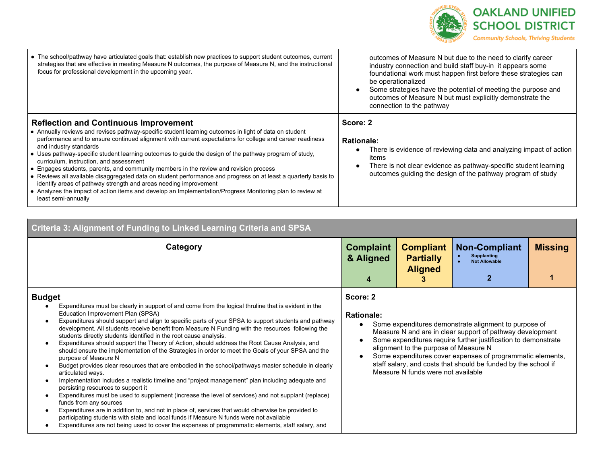

| • The school/pathway have articulated goals that: establish new practices to support student outcomes, current<br>strategies that are effective in meeting Measure N outcomes, the purpose of Measure N, and the instructional<br>focus for professional development in the upcoming year.                                                                                                                                                       | outcomes of Measure N but due to the need to clarify career<br>industry connection and build staff buy-in it appears some<br>foundational work must happen first before these strategies can<br>be operationalized<br>Some strategies have the potential of meeting the purpose and<br>outcomes of Measure N but must explicitly demonstrate the<br>connection to the pathway |
|--------------------------------------------------------------------------------------------------------------------------------------------------------------------------------------------------------------------------------------------------------------------------------------------------------------------------------------------------------------------------------------------------------------------------------------------------|-------------------------------------------------------------------------------------------------------------------------------------------------------------------------------------------------------------------------------------------------------------------------------------------------------------------------------------------------------------------------------|
| <b>Reflection and Continuous Improvement</b><br>• Annually reviews and revises pathway-specific student learning outcomes in light of data on student<br>performance and to ensure continued alignment with current expectations for college and career readiness<br>and industry standards<br>• Uses pathway-specific student learning outcomes to guide the design of the pathway program of study,<br>curriculum, instruction, and assessment | Score: 2<br><b>Rationale:</b><br>There is evidence of reviewing data and analyzing impact of action<br>items<br>There is not clear evidence as pathway-specific student learning                                                                                                                                                                                              |
| • Engages students, parents, and community members in the review and revision process<br>• Reviews all available disaggregated data on student performance and progress on at least a quarterly basis to<br>identify areas of pathway strength and areas needing improvement<br>• Analyzes the impact of action items and develop an Implementation/Progress Monitoring plan to review at<br>least semi-annually                                 | outcomes guiding the design of the pathway program of study                                                                                                                                                                                                                                                                                                                   |

| <b>Criteria 3: Alignment of Funding to Linked Learning Criteria and SPSA</b>                                                                                                                                                                                                                                                                                                                                                                                                                                                                                                                                                                                                                                                                                                                                                                                                                                                                                                                                                                                                                                                                                                                                                                                                                                                                                                                                                     |                                    |                                                                             |                                                                                                                                                                                                                                                                                                                      |                |
|----------------------------------------------------------------------------------------------------------------------------------------------------------------------------------------------------------------------------------------------------------------------------------------------------------------------------------------------------------------------------------------------------------------------------------------------------------------------------------------------------------------------------------------------------------------------------------------------------------------------------------------------------------------------------------------------------------------------------------------------------------------------------------------------------------------------------------------------------------------------------------------------------------------------------------------------------------------------------------------------------------------------------------------------------------------------------------------------------------------------------------------------------------------------------------------------------------------------------------------------------------------------------------------------------------------------------------------------------------------------------------------------------------------------------------|------------------------------------|-----------------------------------------------------------------------------|----------------------------------------------------------------------------------------------------------------------------------------------------------------------------------------------------------------------------------------------------------------------------------------------------------------------|----------------|
| Category                                                                                                                                                                                                                                                                                                                                                                                                                                                                                                                                                                                                                                                                                                                                                                                                                                                                                                                                                                                                                                                                                                                                                                                                                                                                                                                                                                                                                         | <b>Complaint</b><br>& Aligned<br>4 | <b>Compliant</b><br><b>Partially</b><br><b>Aligned</b>                      | <b>Non-Compliant</b><br><b>Supplanting</b><br><b>Not Allowable</b>                                                                                                                                                                                                                                                   | <b>Missing</b> |
| <b>Budget</b><br>Expenditures must be clearly in support of and come from the logical thruline that is evident in the<br>Education Improvement Plan (SPSA)<br>Expenditures should support and align to specific parts of your SPSA to support students and pathway<br>development. All students receive benefit from Measure N Funding with the resources following the<br>students directly students identified in the root cause analysis.<br>Expenditures should support the Theory of Action, should address the Root Cause Analysis, and<br>$\bullet$<br>should ensure the implementation of the Strategies in order to meet the Goals of your SPSA and the<br>purpose of Measure N<br>Budget provides clear resources that are embodied in the school/pathways master schedule in clearly<br>$\bullet$<br>articulated ways.<br>Implementation includes a realistic timeline and "project management" plan including adequate and<br>persisting resources to support it<br>Expenditures must be used to supplement (increase the level of services) and not supplant (replace)<br>$\bullet$<br>funds from any sources<br>Expenditures are in addition to, and not in place of, services that would otherwise be provided to<br>participating students with state and local funds if Measure N funds were not available<br>Expenditures are not being used to cover the expenses of programmatic elements, staff salary, and | Score: 2<br><b>Rationale:</b>      | alignment to the purpose of Measure N<br>Measure N funds were not available | Some expenditures demonstrate alignment to purpose of<br>Measure N and are in clear support of pathway development<br>Some expenditures require further justification to demonstrate<br>Some expenditures cover expenses of programmatic elements,<br>staff salary, and costs that should be funded by the school if |                |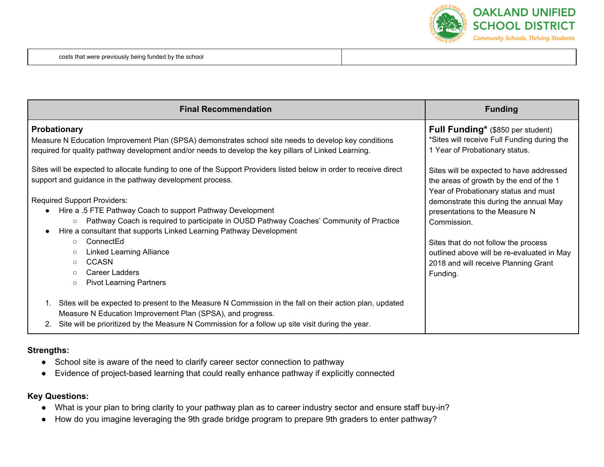

| <b>Final Recommendation</b>                                                                                                                                                                                                                                                                                                                                                                                                                                     | <b>Funding</b>                                                                                                                                                                                                         |
|-----------------------------------------------------------------------------------------------------------------------------------------------------------------------------------------------------------------------------------------------------------------------------------------------------------------------------------------------------------------------------------------------------------------------------------------------------------------|------------------------------------------------------------------------------------------------------------------------------------------------------------------------------------------------------------------------|
| Probationary<br>Measure N Education Improvement Plan (SPSA) demonstrates school site needs to develop key conditions<br>required for quality pathway development and/or needs to develop the key pillars of Linked Learning.                                                                                                                                                                                                                                    | Full Funding* (\$850 per student)<br>*Sites will receive Full Funding during the<br>1 Year of Probationary status.                                                                                                     |
| Sites will be expected to allocate funding to one of the Support Providers listed below in order to receive direct<br>support and guidance in the pathway development process.<br><b>Required Support Providers:</b><br>Hire a .5 FTE Pathway Coach to support Pathway Development<br>Pathway Coach is required to participate in OUSD Pathway Coaches' Community of Practice<br>$\circ$<br>Hire a consultant that supports Linked Learning Pathway Development | Sites will be expected to have addressed<br>the areas of growth by the end of the 1<br>Year of Probationary status and must<br>demonstrate this during the annual May<br>presentations to the Measure N<br>Commission. |
| ConnectEd<br>$\circ$<br><b>Linked Learning Alliance</b><br>$\circ$<br>CCASN<br>$\circ$<br>Career Ladders<br>$\circ$<br><b>Pivot Learning Partners</b><br>$\circ$                                                                                                                                                                                                                                                                                                | Sites that do not follow the process<br>outlined above will be re-evaluated in May<br>2018 and will receive Planning Grant<br>Funding.                                                                                 |
| Sites will be expected to present to the Measure N Commission in the fall on their action plan, updated<br>Measure N Education Improvement Plan (SPSA), and progress.<br>Site will be prioritized by the Measure N Commission for a follow up site visit during the year.<br>2.                                                                                                                                                                                 |                                                                                                                                                                                                                        |

#### **Strengths:**

- School site is aware of the need to clarify career sector connection to pathway
- Evidence of project-based learning that could really enhance pathway if explicitly connected

## **Key Questions:**

- What is your plan to bring clarity to your pathway plan as to career industry sector and ensure staff buy-in?
- How do you imagine leveraging the 9th grade bridge program to prepare 9th graders to enter pathway?